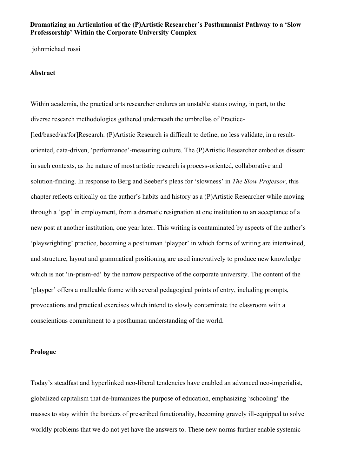# **Dramatizing an Articulation of the (P)Artistic Researcher's Posthumanist Pathway to a 'Slow Professorship' Within the Corporate University Complex**

johnmichael rossi

### **Abstract**

Within academia, the practical arts researcher endures an unstable status owing, in part, to the diverse research methodologies gathered underneath the umbrellas of Practice- [led/based/as/for]Research. (P)Artistic Research is difficult to define, no less validate, in a resultoriented, data-driven, 'performance'-measuring culture. The (P)Artistic Researcher embodies dissent in such contexts, as the nature of most artistic research is process-oriented, collaborative and solution-finding. In response to Berg and Seeber's pleas for 'slowness' in *The Slow Professor*, this chapter reflects critically on the author's habits and history as a (P)Artistic Researcher while moving through a 'gap' in employment, from a dramatic resignation at one institution to an acceptance of a new post at another institution, one year later. This writing is contaminated by aspects of the author's 'playwrighting' practice, becoming a posthuman 'playper' in which forms of writing are intertwined, and structure, layout and grammatical positioning are used innovatively to produce new knowledge which is not 'in-prism-ed' by the narrow perspective of the corporate university. The content of the 'playper' offers a malleable frame with several pedagogical points of entry, including prompts, provocations and practical exercises which intend to slowly contaminate the classroom with a conscientious commitment to a posthuman understanding of the world.

### **Prologue**

Today's steadfast and hyperlinked neo-liberal tendencies have enabled an advanced neo-imperialist, globalized capitalism that de-humanizes the purpose of education, emphasizing 'schooling' the masses to stay within the borders of prescribed functionality, becoming gravely ill-equipped to solve worldly problems that we do not yet have the answers to. These new norms further enable systemic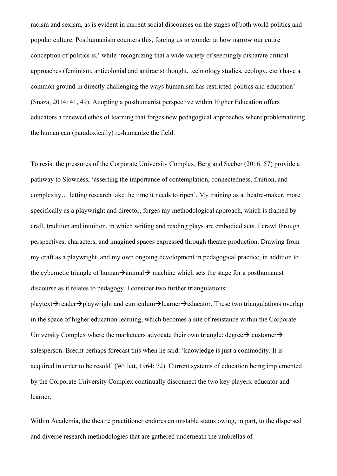racism and sexism, as is evident in current social discourses on the stages of both world politics and popular culture. Posthumanism counters this, forcing us to wonder at how narrow our entire conception of politics is,' while 'recognizing that a wide variety of seemingly disparate critical approaches (feminism, anticolonial and antiracist thought, technology studies, ecology, etc.) have a common ground in directly challenging the ways humanism has restricted politics and education' (Snaza, 2014: 41, 49). Adopting a posthumanist perspective within Higher Education offers educators a renewed ethos of learning that forges new pedagogical approaches where problematizing the human can (paradoxically) re-humanize the field.

To resist the pressures of the Corporate University Complex, Berg and Seeber (2016: 57) provide a pathway to Slowness, 'asserting the importance of contemplation, connectedness, fruition, and complexity… letting research take the time it needs to ripen'. My training as a theatre-maker, more specifically as a playwright and director, forges my methodological approach, which is framed by craft, tradition and intuition, in which writing and reading plays are embodied acts. I crawl through perspectives, characters, and imagined spaces expressed through theatre production. Drawing from my craft as a playwright, and my own ongoing development in pedagogical practice, in addition to the cybernetic triangle of human $\rightarrow$ animal $\rightarrow$  machine which sets the stage for a posthumanist discourse as it relates to pedagogy, I consider two further triangulations:

playtext→reader→playwright and curriculum→learner→educator. These two triangulations overlap in the space of higher education learning, which becomes a site of resistance within the Corporate University Complex where the marketeers advocate their own triangle: degree $\rightarrow$  customer $\rightarrow$ salesperson. Brecht perhaps forecast this when he said: 'knowledge is just a commodity. It is acquired in order to be resold' (Willett, 1964: 72). Current systems of education being implemented by the Corporate University Complex continually disconnect the two key players, educator and learner.

Within Academia, the theatre practitioner endures an unstable status owing, in part, to the dispersed and diverse research methodologies that are gathered underneath the umbrellas of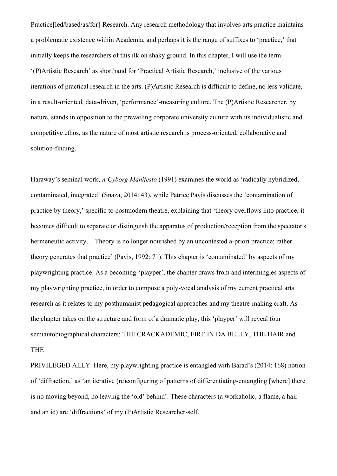Practice[led/based/as/for]-Research. Any research methodology that involves arts practice maintains a problematic existence within Academia, and perhaps it is the range of suffixes to 'practice,' that initially keeps the researchers of this ilk on shaky ground. In this chapter, I will use the term '(P)Artistic Research' as shorthand for 'Practical Artistic Research,' inclusive of the various iterations of practical research in the arts. (P)Artistic Research is difficult to define, no less validate, in a result-oriented, data-driven, 'performance'-measuring culture. The (P)Artistic Researcher, by nature, stands in opposition to the prevailing corporate university culture with its individualistic and competitive ethos, as the nature of most artistic research is process-oriented, collaborative and solution-finding.

Haraway's seminal work, *A Cyborg Manifesto* (1991) examines the world as 'radically hybridized, contaminated, integrated' (Snaza, 2014: 43), while Patrice Pavis discusses the 'contamination of practice by theory,' specific to postmodern theatre, explaining that 'theory overflows into practice; it becomes difficult to separate or distinguish the apparatus of production/reception from the spectator's hermeneutic activity... Theory is no longer nourished by an uncontested a-priori practice; rather theory generates that practice' (Pavis, 1992: 71). This chapter is 'contaminated' by aspects of my playwrighting practice. As a becoming-'playper', the chapter draws from and intermingles aspects of my playwrighting practice, in order to compose a poly-vocal analysis of my current practical arts research as it relates to my posthumanist pedagogical approaches and my theatre-making craft. As the chapter takes on the structure and form of a dramatic play, this 'playper' will reveal four semiautobiographical characters: THE CRACKADEMIC, FIRE IN DA BELLY, THE HAIR and THE

PRIVILEGED ALLY. Here, my playwrighting practice is entangled with Barad's (2014: 168) notion of 'diffraction,' as 'an iterative (re)configuring of patterns of differentiating-entangling [where] there is no moving beyond, no leaving the 'old' behind'. These characters (a workaholic, a flame, a hair and an id) are 'diffractions' of my (P)Artistic Researcher-self.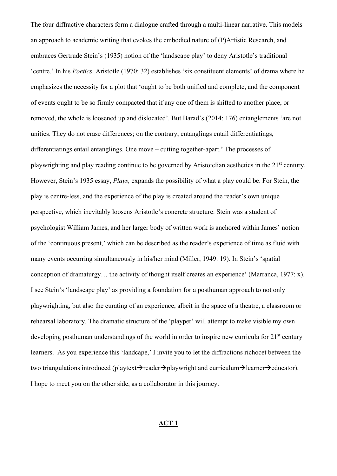The four diffractive characters form a dialogue crafted through a multi-linear narrative. This models an approach to academic writing that evokes the embodied nature of (P)Artistic Research, and embraces Gertrude Stein's (1935) notion of the 'landscape play' to deny Aristotle's traditional 'centre.' In his *Poetics,* Aristotle (1970: 32) establishes 'six constituent elements' of drama where he emphasizes the necessity for a plot that 'ought to be both unified and complete, and the component of events ought to be so firmly compacted that if any one of them is shifted to another place, or removed, the whole is loosened up and dislocated'. But Barad's (2014: 176) entanglements 'are not unities. They do not erase differences; on the contrary, entanglings entail differentiatings, differentiatings entail entanglings. One move – cutting together-apart.' The processes of playwrighting and play reading continue to be governed by Aristotelian aesthetics in the 21<sup>st</sup> century. However, Stein's 1935 essay, *Plays,* expands the possibility of what a play could be. For Stein, the play is centre-less, and the experience of the play is created around the reader's own unique perspective, which inevitably loosens Aristotle's concrete structure. Stein was a student of psychologist William James, and her larger body of written work is anchored within James' notion of the 'continuous present,' which can be described as the reader's experience of time as fluid with many events occurring simultaneously in his/her mind (Miller, 1949: 19). In Stein's 'spatial conception of dramaturgy… the activity of thought itself creates an experience' (Marranca, 1977: x). I see Stein's 'landscape play' as providing a foundation for a posthuman approach to not only playwrighting, but also the curating of an experience, albeit in the space of a theatre, a classroom or rehearsal laboratory. The dramatic structure of the 'playper' will attempt to make visible my own developing posthuman understandings of the world in order to inspire new curricula for  $21<sup>st</sup>$  century learners. As you experience this 'landcape,' I invite you to let the diffractions richocet between the two triangulations introduced (playtext→reader→playwright and curriculum→learner→educator). I hope to meet you on the other side, as a collaborator in this journey.

### **ACT 1**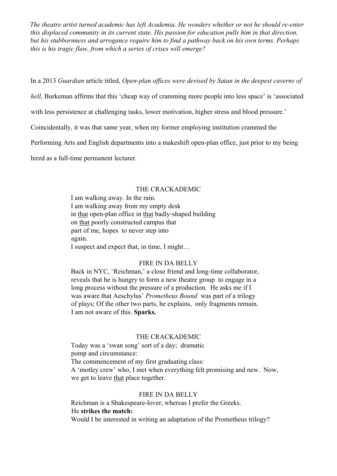*The theatre artist turned academic has left Academia. He wonders whether or not he should re-enter this displaced community in its current state. His passion for education pulls him in that direction, but his stubbornness and arrogance require him to find a pathway back on his own terms. Perhaps this is his tragic flaw, from which a series of crises will emerge?* 

In a 2013 *Guardian* article titled, *Open-plan offices were devised by Satan in the deepest caverns of* 

*hell*, Burkeman affirms that this 'cheap way of cramming more people into less space' is 'associated

with less persistence at challenging tasks, lower motivation, higher stress and blood pressure.'

Coincidentally, it was that same year, when my former employing institution crammed the

Performing Arts and English departments into a makeshift open-plan office, just prior to my being

hired as a full-time permanent lecturer.

# THE CRACKADEMIC

I am walking away. In the rain. I am walking away from my empty desk in that open-plan office in that badly-shaped building on that poorly constructed campus that part of me, hopes to never step into again. I suspect and expect that, in time, I might…

# FIRE IN DA BELLY

Back in NYC, 'Reichman,' a close friend and long-time collaborator, reveals that he is hungry to form a new theatre group to engage in a long process without the pressure of a production. He asks me if I was aware that Aeschylus' *Prometheus Bound* was part of a trilogy of plays; Of the other two parts, he explains, only fragments remain. I am not aware of this. **Sparks.**

# THE CRACKADEMIC

Today was a 'swan song' sort of a day; dramatic pomp and circumstance:

The commencement of my first graduating class:

A 'motley crew' who, I met when everything felt promising and new. Now, we get to leave that place together.

# FIRE IN DA BELLY

Reichman is a Shakespeare-lover, whereas I prefer the Greeks. He **strikes the match:**

Would I be interested in writing an adaptation of the Prometheus trilogy?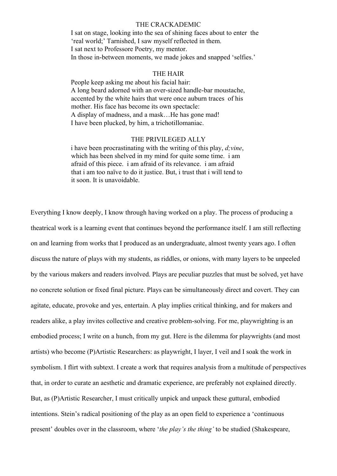I sat on stage, looking into the sea of shining faces about to enter the 'real world;' Tarnished, I saw myself reflected in them. I sat next to Professore Poetry, my mentor. In those in-between moments, we made jokes and snapped 'selfies.'

### THE HAIR

People keep asking me about his facial hair: A long beard adorned with an over-sized handle-bar moustache, accented by the white hairs that were once auburn traces of his mother. His face has become its own spectacle: A display of madness, and a mask…He has gone mad! I have been plucked, by him, a trichotillomaniac.

### THE PRIVILEGED ALLY

i have been procrastinating with the writing of this play, *d;vine*, which has been shelved in my mind for quite some time. i am afraid of this piece. i am afraid of its relevance. i am afraid that i am too naïve to do it justice. But, i trust that i will tend to it soon. It is unavoidable.

Everything I know deeply, I know through having worked on a play. The process of producing a theatrical work is a learning event that continues beyond the performance itself. I am still reflecting on and learning from works that I produced as an undergraduate, almost twenty years ago. I often discuss the nature of plays with my students, as riddles, or onions, with many layers to be unpeeled by the various makers and readers involved. Plays are peculiar puzzles that must be solved, yet have no concrete solution or fixed final picture. Plays can be simultaneously direct and covert. They can agitate, educate, provoke and yes, entertain. A play implies critical thinking, and for makers and readers alike, a play invites collective and creative problem-solving. For me, playwrighting is an embodied process; I write on a hunch, from my gut. Here is the dilemma for playwrights (and most artists) who become (P)Artistic Researchers: as playwright, I layer, I veil and I soak the work in symbolism. I flirt with subtext. I create a work that requires analysis from a multitude of perspectives that, in order to curate an aesthetic and dramatic experience, are preferably not explained directly. But, as (P)Artistic Researcher, I must critically unpick and unpack these guttural, embodied intentions. Stein's radical positioning of the play as an open field to experience a 'continuous present' doubles over in the classroom, where '*the play's the thing'* to be studied (Shakespeare,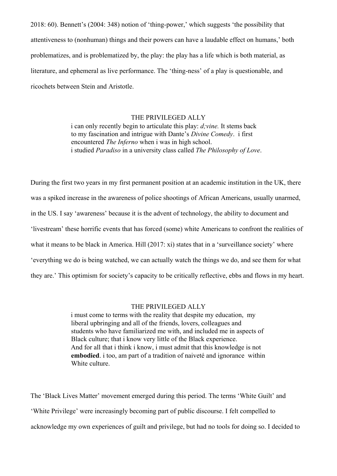2018: 60). Bennett's (2004: 348) notion of 'thing-power,' which suggests 'the possibility that attentiveness to (nonhuman) things and their powers can have a laudable effect on humans,' both problematizes, and is problematized by, the play: the play has a life which is both material, as literature, and ephemeral as live performance. The 'thing-ness' of a play is questionable, and ricochets between Stein and Aristotle.

### THE PRIVILEGED ALLY

i can only recently begin to articulate this play: *d;vine.* It stems back to my fascination and intrigue with Dante's *Divine Comedy*. i first encountered *The Inferno* when i was in high school. i studied *Paradiso* in a university class called *The Philosophy of Love*.

During the first two years in my first permanent position at an academic institution in the UK, there was a spiked increase in the awareness of police shootings of African Americans, usually unarmed, in the US. I say 'awareness' because it is the advent of technology, the ability to document and 'livestream' these horrific events that has forced (some) white Americans to confront the realities of what it means to be black in America. Hill (2017: xi) states that in a 'surveillance society' where 'everything we do is being watched, we can actually watch the things we do, and see them for what they are.' This optimism for society's capacity to be critically reflective, ebbs and flows in my heart.

### THE PRIVILEGED ALLY

i must come to terms with the reality that despite my education, my liberal upbringing and all of the friends, lovers, colleagues and students who have familiarized me with, and included me in aspects of Black culture; that i know very little of the Black experience. And for all that i think i know, i must admit that this knowledge is not **embodied**. i too, am part of a tradition of naiveté and ignorance within White culture.

The 'Black Lives Matter' movement emerged during this period. The terms 'White Guilt' and 'White Privilege' were increasingly becoming part of public discourse. I felt compelled to acknowledge my own experiences of guilt and privilege, but had no tools for doing so. I decided to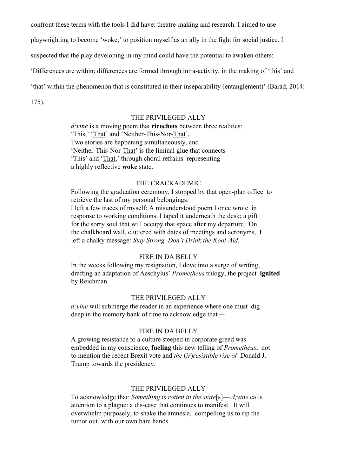confront these terms with the tools I did have: theatre-making and research. I aimed to use

playwrighting to become 'woke;' to position myself as an ally in the fight for social justice. I

suspected that the play developing in my mind could have the potential to awaken others:

'Differences are within; differences are formed through intra-activity, in the making of 'this' and

'that' within the phenomenon that is constituted in their inseparability (entanglement)' (Barad, 2014:

175).

### THE PRIVILEGED ALLY

*d;vine* is a moving poem that **ricochets** between three realities: 'This,' 'That' and 'Neither-This-Nor-That'. Two stories are happening simultaneously, and 'Neither-This-Nor-That' is the liminal glue that connects 'This' and 'That,' through choral refrains representing a highly reflective **woke** state.

### THE CRACKADEMIC

Following the graduation ceremony, I stopped by that open-plan office to retrieve the last of my personal belongings. I left a few traces of myself: A misunderstood poem I once wrote in response to working conditions. I taped it underneath the desk; a gift for the sorry soul that will occupy that space after my departure. On the chalkboard wall, cluttered with dates of meetings and acronyms, I left a chalky message: *Stay Strong. Don't Drink the Kool-Aid*.

### FIRE IN DA BELLY

In the weeks following my resignation, I dove into a surge of writing, drafting an adaptation of Aeschylus' *Prometheus* trilogy, the project **ignited** by Reichman

# THE PRIVILEGED ALLY

*d;vine* will submerge the reader in an experience where one must dig deep in the memory bank of time to acknowledge that—

### FIRE IN DA BELLY

A growing resistance to a culture steeped in corporate greed was embedded in my conscience, **fueling** this new telling of *Prometheus*, not to mention the recent Brexit vote and *the* (*ir*)*resistible rise of* Donald J. Trump towards the presidency.

# THE PRIVILEGED ALLY

To acknowledge that: *Something is rotten in the state*[s]— *d;vine* calls attention to a plague: a dis-ease that continues to manifest. It will overwhelm purposely, to shake the amnesia, compelling us to rip the tumor out, with our own bare hands.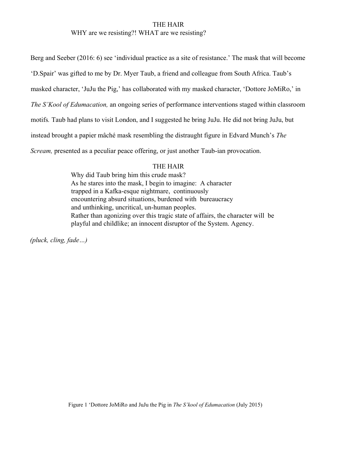#### THE HAIR

### WHY are we resisting?! WHAT are we resisting?

Berg and Seeber (2016: 6) see 'individual practice as a site of resistance.' The mask that will become

'D.Spair' was gifted to me by Dr. Myer Taub, a friend and colleague from South Africa. Taub's

masked character, 'JuJu the Pig,' has collaborated with my masked character, 'Dottore JoMiRo,' in

*The S'Kool of Edumacation,* an ongoing series of performance interventions staged within classroom

motifs*.* Taub had plans to visit London, and I suggested he bring JuJu. He did not bring JuJu, but

instead brought a papier mâché mask resembling the distraught figure in Edvard Munch's *The* 

*Scream*, presented as a peculiar peace offering, or just another Taub-ian provocation.

### THE HAIR

Why did Taub bring him this crude mask? As he stares into the mask, I begin to imagine: A character trapped in a Kafka-esque nightmare, continuously encountering absurd situations, burdened with bureaucracy and unthinking, uncritical, un-human peoples. Rather than agonizing over this tragic state of affairs, the character will be playful and childlike; an innocent disruptor of the System. Agency.

*(pluck, cling, fade…)* 

Figure 1 'Dottore JoMiRo and JuJu the Pig in *The S'kool of Edumacation* (July 2015)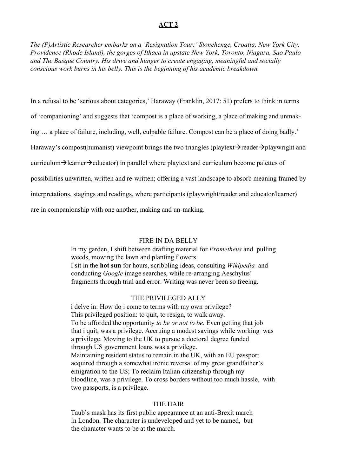# **ACT 2**

*The (P)Artistic Researcher embarks on a 'Resignation Tour:' Stonehenge, Croatia, New York City, Providence (Rhode Island), the gorges of Ithaca in upstate New York, Toronto, Niagara, Sao Paulo and The Basque Country. His drive and hunger to create engaging, meaningful and socially conscious work burns in his belly. This is the beginning of his academic breakdown.* 

In a refusal to be 'serious about categories,' Haraway (Franklin, 2017: 51) prefers to think in terms

of 'companioning' and suggests that 'compost is a place of working, a place of making and unmak-

ing … a place of failure, including, well, culpable failure. Compost can be a place of doing badly.'

Haraway's compost(humanist) viewpoint brings the two triangles (playtext→reader→playwright and

curriculum→learner→educator) in parallel where playtext and curriculum become palettes of

possibilities unwritten, written and re-written; offering a vast landscape to absorb meaning framed by

interpretations, stagings and readings, where participants (playwright/reader and educator/learner)

are in companionship with one another, making and un-making.

#### FIRE IN DA BELLY

In my garden, I shift between drafting material for *Prometheus* and pulling weeds, mowing the lawn and planting flowers. I sit in the **hot sun** for hours, scribbling ideas, consulting *Wikipedia* and conducting *Google* image searches, while re-arranging Aeschylus' fragments through trial and error. Writing was never been so freeing.

### THE PRIVILEGED ALLY

i delve in: How do i come to terms with my own privilege? This privileged position: to quit, to resign, to walk away. To be afforded the opportunity *to be or not to be*. Even getting that job that i quit, was a privilege. Accruing a modest savings while working was a privilege. Moving to the UK to pursue a doctoral degree funded through US government loans was a privilege. Maintaining resident status to remain in the UK, with an EU passport acquired through a somewhat ironic reversal of my great grandfather's emigration to the US; To reclaim Italian citizenship through my bloodline, was a privilege. To cross borders without too much hassle, with two passports, is a privilege.

#### THE HAIR

Taub's mask has its first public appearance at an anti-Brexit march in London. The character is undeveloped and yet to be named, but the character wants to be at the march.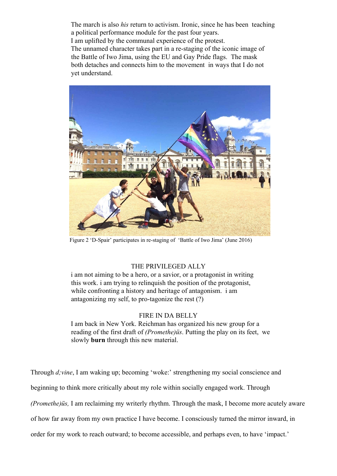The march is also *his* return to activism. Ironic, since he has been teaching a political performance module for the past four years. I am uplifted by the communal experience of the protest. The unnamed character takes part in a re-staging of the iconic image of the Battle of Iwo Jima, using the EU and Gay Pride flags. The mask both detaches and connects him to the movement in ways that I do not yet understand.



Figure 2 'D-Spair' participates in re-staging of 'Battle of Iwo Jima' (June 2016)

# THE PRIVILEGED ALLY

i am not aiming to be a hero, or a savior, or a protagonist in writing this work. i am trying to relinquish the position of the protagonist, while confronting a history and heritage of antagonism. i am antagonizing my self, to pro-tagonize the rest (?)

# FIRE IN DA BELLY

I am back in New York. Reichman has organized his new group for a reading of the first draft of *(Promethe)üs*. Putting the play on its feet, we slowly **burn** through this new material.

Through *d;vine*, I am waking up; becoming 'woke:' strengthening my social conscience and beginning to think more critically about my role within socially engaged work. Through *(Promethe)üs,* I am reclaiming my writerly rhythm. Through the mask, I become more acutely aware of how far away from my own practice I have become. I consciously turned the mirror inward, in order for my work to reach outward; to become accessible, and perhaps even, to have 'impact.'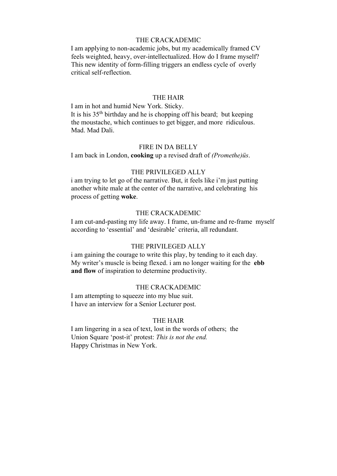I am applying to non-academic jobs, but my academically framed CV feels weighted, heavy, over-intellectualized. How do I frame myself? This new identity of form-filling triggers an endless cycle of overly critical self-reflection.

### THE HAIR

I am in hot and humid New York. Sticky. It is his  $35<sup>th</sup>$  birthday and he is chopping off his beard; but keeping the moustache, which continues to get bigger, and more ridiculous. Mad. Mad Dali.

#### FIRE IN DA BELLY

I am back in London, **cooking** up a revised draft of *(Promethe)üs*.

### THE PRIVILEGED ALLY

i am trying to let go of the narrative. But, it feels like i'm just putting another white male at the center of the narrative, and celebrating his process of getting **woke**.

### THE CRACKADEMIC

I am cut-and-pasting my life away. I frame, un-frame and re-frame myself according to 'essential' and 'desirable' criteria, all redundant.

### THE PRIVILEGED ALLY

i am gaining the courage to write this play, by tending to it each day. My writer's muscle is being flexed. i am no longer waiting for the **ebb and flow** of inspiration to determine productivity.

### THE CRACKADEMIC

I am attempting to squeeze into my blue suit. I have an interview for a Senior Lecturer post.

### THE HAIR

I am lingering in a sea of text, lost in the words of others; the Union Square 'post-it' protest: *This is not the end.* Happy Christmas in New York.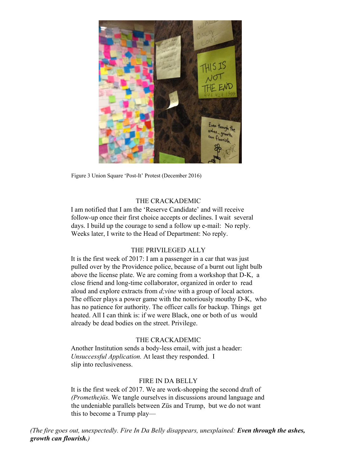

Figure 3 Union Square 'Post-It' Protest (December 2016)

I am notified that I am the 'Reserve Candidate' and will receive follow-up once their first choice accepts or declines. I wait several days. I build up the courage to send a follow up e-mail: No reply. Weeks later, I write to the Head of Department: No reply.

# THE PRIVILEGED ALLY

It is the first week of 2017: I am a passenger in a car that was just pulled over by the Providence police, because of a burnt out light bulb above the license plate. We are coming from a workshop that D-K, a close friend and long-time collaborator, organized in order to read aloud and explore extracts from *d;vine* with a group of local actors. The officer plays a power game with the notoriously mouthy D-K, who has no patience for authority. The officer calls for backup. Things get heated. All I can think is: if we were Black, one or both of us would already be dead bodies on the street. Privilege.

# THE CRACKADEMIC

Another Institution sends a body-less email, with just a header: *Unsuccessful Application.* At least they responded. I slip into reclusiveness.

# FIRE IN DA BELLY

It is the first week of 2017. We are work-shopping the second draft of *(Promethe)üs*. We tangle ourselves in discussions around language and the undeniable parallels between Züs and Trump, but we do not want this to become a Trump play—

*(The fire goes out, unexpectedly. Fire In Da Belly disappears, unexplained: Even through the ashes, growth can flourish.)*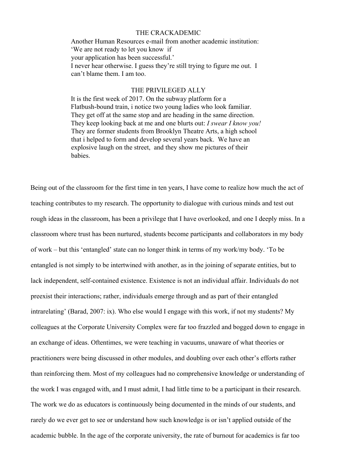Another Human Resources e-mail from another academic institution: 'We are not ready to let you know if your application has been successful.' I never hear otherwise. I guess they're still trying to figure me out. I can't blame them. I am too.

## THE PRIVILEGED ALLY

It is the first week of 2017. On the subway platform for a Flatbush-bound train, i notice two young ladies who look familiar. They get off at the same stop and are heading in the same direction. They keep looking back at me and one blurts out: *I swear I know you!* They are former students from Brooklyn Theatre Arts, a high school that i helped to form and develop several years back. We have an explosive laugh on the street, and they show me pictures of their babies.

Being out of the classroom for the first time in ten years, I have come to realize how much the act of teaching contributes to my research. The opportunity to dialogue with curious minds and test out rough ideas in the classroom, has been a privilege that I have overlooked, and one I deeply miss. In a classroom where trust has been nurtured, students become participants and collaborators in my body of work – but this 'entangled' state can no longer think in terms of my work/my body. 'To be entangled is not simply to be intertwined with another, as in the joining of separate entities, but to lack independent, self-contained existence. Existence is not an individual affair. Individuals do not preexist their interactions; rather, individuals emerge through and as part of their entangled intrarelating' (Barad, 2007: ix). Who else would I engage with this work, if not my students? My colleagues at the Corporate University Complex were far too frazzled and bogged down to engage in an exchange of ideas. Oftentimes, we were teaching in vacuums, unaware of what theories or practitioners were being discussed in other modules, and doubling over each other's efforts rather than reinforcing them. Most of my colleagues had no comprehensive knowledge or understanding of the work I was engaged with, and I must admit, I had little time to be a participant in their research. The work we do as educators is continuously being documented in the minds of our students, and rarely do we ever get to see or understand how such knowledge is or isn't applied outside of the academic bubble. In the age of the corporate university, the rate of burnout for academics is far too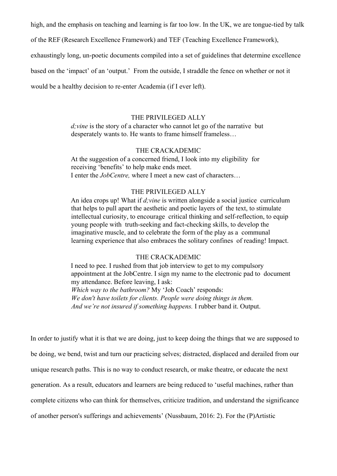high, and the emphasis on teaching and learning is far too low. In the UK, we are tongue-tied by talk

of the REF (Research Excellence Framework) and TEF (Teaching Excellence Framework),

exhaustingly long, un-poetic documents compiled into a set of guidelines that determine excellence

based on the 'impact' of an 'output.' From the outside, I straddle the fence on whether or not it

would be a healthy decision to re-enter Academia (if I ever left).

### THE PRIVILEGED ALLY

*d;vine* is the story of a character who cannot let go of the narrative but desperately wants to. He wants to frame himself frameless…

### THE CRACKADEMIC

At the suggestion of a concerned friend, I look into my eligibility for receiving 'benefits' to help make ends meet. I enter the *JobCentre,* where I meet a new cast of characters…

### THE PRIVILEGED ALLY

An idea crops up! What if *d;vine* is written alongside a social justice curriculum that helps to pull apart the aesthetic and poetic layers of the text, to stimulate intellectual curiosity, to encourage critical thinking and self-reflection, to equip young people with truth-seeking and fact-checking skills, to develop the imaginative muscle, and to celebrate the form of the play as a communal learning experience that also embraces the solitary confines of reading! Impact.

### THE CRACKADEMIC

I need to pee. I rushed from that job interview to get to my compulsory appointment at the JobCentre. I sign my name to the electronic pad to document my attendance. Before leaving, I ask: *Which way to the bathroom?* My 'Job Coach' responds: *We don't have toilets for clients. People were doing things in them. And we're not insured if something happens.* I rubber band it. Output.

In order to justify what it is that we are doing, just to keep doing the things that we are supposed to be doing, we bend, twist and turn our practicing selves; distracted, displaced and derailed from our unique research paths. This is no way to conduct research, or make theatre, or educate the next generation. As a result, educators and learners are being reduced to 'useful machines, rather than complete citizens who can think for themselves, criticize tradition, and understand the significance of another person's sufferings and achievements' (Nussbaum, 2016: 2). For the (P)Artistic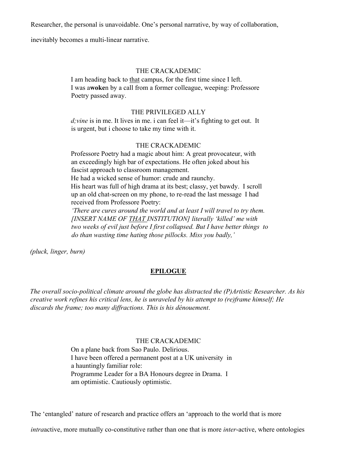Researcher, the personal is unavoidable. One's personal narrative, by way of collaboration,

inevitably becomes a multi-linear narrative.

### THE CRACKADEMIC

I am heading back to that campus, for the first time since I left. I was a**woke**n by a call from a former colleague, weeping: Professore Poetry passed away.

### THE PRIVILEGED ALLY

*d;vine* is in me. It lives in me. i can feel it—it's fighting to get out. It is urgent, but i choose to take my time with it.

## THE CRACKADEMIC

Professore Poetry had a magic about him: A great provocateur, with an exceedingly high bar of expectations. He often joked about his fascist approach to classroom management.

He had a wicked sense of humor: crude and raunchy.

His heart was full of high drama at its best; classy, yet bawdy. I scroll up an old chat-screen on my phone, to re-read the last message I had received from Professore Poetry:

*'There are cures around the world and at least I will travel to try them. [INSERT NAME OF THAT INSTITUTION] literally 'killed' me with two weeks of evil just before I first collapsed. But I have better things to do than wasting time hating those pillocks. Miss you badly,'* 

*(pluck, linger, burn)* 

### **EPILOGUE**

*The overall socio-political climate around the globe has distracted the (P)Artistic Researcher. As his creative work refines his critical lens, he is unraveled by his attempt to (re)frame himself; He discards the frame; too many diffractions. This is his dénouement*.

# THE CRACKADEMIC

On a plane back from Sao Paulo. Delirious. I have been offered a permanent post at a UK university in a hauntingly familiar role: Programme Leader for a BA Honours degree in Drama. I am optimistic. Cautiously optimistic.

The 'entangled' nature of research and practice offers an 'approach to the world that is more

*intra*active, more mutually co-constitutive rather than one that is more *inter*-active, where ontologies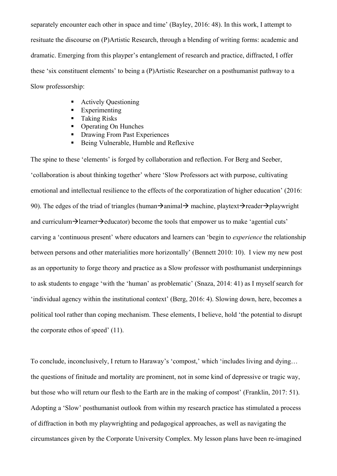separately encounter each other in space and time' (Bayley, 2016: 48). In this work, I attempt to resituate the discourse on (P)Artistic Research, through a blending of writing forms: academic and dramatic. Emerging from this playper's entanglement of research and practice, diffracted, I offer these 'six constituent elements' to being a (P)Artistic Researcher on a posthumanist pathway to a Slow professorship:

- Actively Questioning
- Experimenting
- Taking Risks
- Operating On Hunches
- **Drawing From Past Experiences**
- Being Vulnerable, Humble and Reflexive

The spine to these 'elements' is forged by collaboration and reflection. For Berg and Seeber, 'collaboration is about thinking together' where 'Slow Professors act with purpose, cultivating emotional and intellectual resilience to the effects of the corporatization of higher education' (2016: 90). The edges of the triad of triangles (human→animal→ machine, playtext→reader→playwright and curriculum→learner→educator) become the tools that empower us to make 'agential cuts' carving a 'continuous present' where educators and learners can 'begin to *experience* the relationship between persons and other materialities more horizontally' (Bennett 2010: 10). I view my new post as an opportunity to forge theory and practice as a Slow professor with posthumanist underpinnings to ask students to engage 'with the 'human' as problematic' (Snaza, 2014: 41) as I myself search for 'individual agency within the institutional context' (Berg, 2016: 4). Slowing down, here, becomes a political tool rather than coping mechanism. These elements, I believe, hold 'the potential to disrupt the corporate ethos of speed' (11).

To conclude, inconclusively, I return to Haraway's 'compost,' which 'includes living and dying… the questions of finitude and mortality are prominent, not in some kind of depressive or tragic way, but those who will return our flesh to the Earth are in the making of compost' (Franklin, 2017: 51). Adopting a 'Slow' posthumanist outlook from within my research practice has stimulated a process of diffraction in both my playwrighting and pedagogical approaches, as well as navigating the circumstances given by the Corporate University Complex. My lesson plans have been re-imagined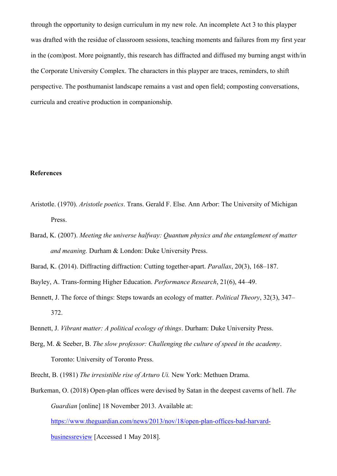through the opportunity to design curriculum in my new role. An incomplete Act 3 to this playper was drafted with the residue of classroom sessions, teaching moments and failures from my first year in the (com)post. More poignantly, this research has diffracted and diffused my burning angst with/in the Corporate University Complex. The characters in this playper are traces, reminders, to shift perspective. The posthumanist landscape remains a vast and open field; composting conversations, curricula and creative production in companionship.

### **References**

- Aristotle. (1970). *Aristotle poetics*. Trans. Gerald F. Else. Ann Arbor: The University of Michigan Press.
- Barad, K. (2007). *Meeting the universe halfway: Quantum physics and the entanglement of matter and meaning.* Durham & London: Duke University Press.
- Barad, K. (2014). Diffracting diffraction: Cutting together-apart. *Parallax*, 20(3), 168–187.
- Bayley, A. Trans-forming Higher Education. *Performance Research*, 21(6), 44–49.
- Bennett, J. The force of things: Steps towards an ecology of matter. *Political Theory*, 32(3), 347– 372.
- Bennett, J. *Vibrant matter: A political ecology of things*. Durham: Duke University Press.
- Berg, M. & Seeber, B. *The slow professor: Challenging the culture of speed in the academy*. Toronto: University of Toronto Press.
- Brecht, B. (1981) *The irresistible rise of Arturo Ui.* New York: Methuen Drama.
- Burkeman, O. (2018) Open-plan offices were devised by Satan in the deepest caverns of hell. *The Guardian* [online] 18 November 2013. Available at: https://www.theguardian.com/news/2013/nov/18/open-plan-offices-bad-harvard-

businessreview [Accessed 1 May 2018].